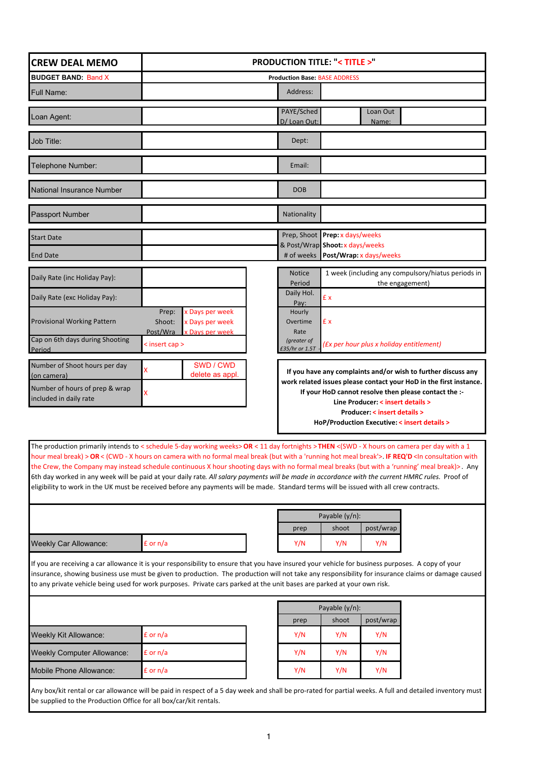| <b>CREW DEAL MEMO</b>                                                                                                                                                                                                                                                                                                                                                                                                              |                                                       | <b>PRODUCTION TITLE: <title>"</title></b> |                                           |                                                                       |  |
|------------------------------------------------------------------------------------------------------------------------------------------------------------------------------------------------------------------------------------------------------------------------------------------------------------------------------------------------------------------------------------------------------------------------------------|-------------------------------------------------------|-------------------------------------------|-------------------------------------------|-----------------------------------------------------------------------|--|
| <b>BUDGET BAND: Band X</b>                                                                                                                                                                                                                                                                                                                                                                                                         | <b>Production Base: BASE ADDRESS</b>                  |                                           |                                           |                                                                       |  |
| <b>Full Name:</b>                                                                                                                                                                                                                                                                                                                                                                                                                  |                                                       | Address:                                  |                                           |                                                                       |  |
|                                                                                                                                                                                                                                                                                                                                                                                                                                    |                                                       | PAYE/Sched                                | Loan Out                                  |                                                                       |  |
| Loan Agent:                                                                                                                                                                                                                                                                                                                                                                                                                        |                                                       | D/ Loan Out:                              | Name:                                     |                                                                       |  |
| Job Title:                                                                                                                                                                                                                                                                                                                                                                                                                         |                                                       | Dept:                                     |                                           |                                                                       |  |
| Telephone Number:                                                                                                                                                                                                                                                                                                                                                                                                                  |                                                       | Email:                                    |                                           |                                                                       |  |
| National Insurance Number                                                                                                                                                                                                                                                                                                                                                                                                          |                                                       | <b>DOB</b>                                |                                           |                                                                       |  |
| <b>Passport Number</b>                                                                                                                                                                                                                                                                                                                                                                                                             |                                                       | Nationality                               |                                           |                                                                       |  |
| <b>Start Date</b>                                                                                                                                                                                                                                                                                                                                                                                                                  |                                                       |                                           | Prep, Shoot Prep: x days/weeks            |                                                                       |  |
| <b>End Date</b>                                                                                                                                                                                                                                                                                                                                                                                                                    |                                                       |                                           | & Post/Wrap Shoot: x days/weeks           |                                                                       |  |
| Daily Rate (inc Holiday Pay):                                                                                                                                                                                                                                                                                                                                                                                                      |                                                       | <b>Notice</b><br>Period                   |                                           | 1 week (including any compulsory/hiatus periods in<br>the engagement) |  |
| Daily Rate (exc Holiday Pay):                                                                                                                                                                                                                                                                                                                                                                                                      |                                                       | Daily Hol.<br>Pay:                        | £ x                                       |                                                                       |  |
| <b>Provisional Working Pattern</b>                                                                                                                                                                                                                                                                                                                                                                                                 | x Days per week<br>Prep:<br>Shoot:<br>x Days per week | Hourly<br>Overtime                        | £х                                        |                                                                       |  |
| Cap on 6th days during Shooting                                                                                                                                                                                                                                                                                                                                                                                                    | Post/Wra<br>x Days per week                           | Rate<br>(greater of                       |                                           |                                                                       |  |
| Period                                                                                                                                                                                                                                                                                                                                                                                                                             | < insert cap >                                        | £35/hr or 1.5T                            | (Ex per hour plus x holiday entitlement)  |                                                                       |  |
| Number of Shoot hours per day<br>(on camera)                                                                                                                                                                                                                                                                                                                                                                                       | SWD / CWD<br>x<br>delete as appl.                     |                                           |                                           | If you have any complaints and/or wish to further discuss any         |  |
|                                                                                                                                                                                                                                                                                                                                                                                                                                    |                                                       |                                           |                                           | work related issues please contact your HoD in the first instance.    |  |
| Number of hours of prep & wrap                                                                                                                                                                                                                                                                                                                                                                                                     |                                                       |                                           |                                           |                                                                       |  |
| included in daily rate                                                                                                                                                                                                                                                                                                                                                                                                             | X                                                     |                                           | Line Producer: < insert details >         | If your HoD cannot resolve then please contact the :-                 |  |
|                                                                                                                                                                                                                                                                                                                                                                                                                                    |                                                       |                                           | <b>Producer: &lt; insert details &gt;</b> | HoP/Production Executive: < insert details >                          |  |
|                                                                                                                                                                                                                                                                                                                                                                                                                                    |                                                       |                                           |                                           |                                                                       |  |
| The production primarily intends to < schedule 5-day working weeks> OR < 11 day fortnights >THEN <(SWD - X hours on camera per day with a 1<br>hour meal break) > OR < (CWD - X hours on camera with no formal meal break (but with a 'running hot meal break'>. IF REQ'D <in consultation="" th="" with<=""><td></td><td></td><td></td><td></td></in>                                                                             |                                                       |                                           |                                           |                                                                       |  |
| the Crew, the Company may instead schedule continuous X hour shooting days with no formal meal breaks (but with a 'running' meal break)>. Any                                                                                                                                                                                                                                                                                      |                                                       |                                           |                                           |                                                                       |  |
| 6th day worked in any week will be paid at your daily rate. All salary payments will be made in accordance with the current HMRC rules. Proof of<br>eligibility to work in the UK must be received before any payments will be made. Standard terms will be issued with all crew contracts.                                                                                                                                        |                                                       |                                           |                                           |                                                                       |  |
|                                                                                                                                                                                                                                                                                                                                                                                                                                    |                                                       |                                           |                                           |                                                                       |  |
|                                                                                                                                                                                                                                                                                                                                                                                                                                    |                                                       |                                           | Payable (y/n):                            |                                                                       |  |
|                                                                                                                                                                                                                                                                                                                                                                                                                                    |                                                       | prep                                      | shoot<br>post/wrap                        |                                                                       |  |
| <b>Weekly Car Allowance:</b>                                                                                                                                                                                                                                                                                                                                                                                                       | £ or n/a                                              | Y/N                                       | Y/N<br>Y/N                                |                                                                       |  |
| If you are receiving a car allowance it is your responsibility to ensure that you have insured your vehicle for business purposes. A copy of your<br>insurance, showing business use must be given to production. The production will not take any responsibility for insurance claims or damage caused<br>to any private vehicle being used for work purposes. Private cars parked at the unit bases are parked at your own risk. |                                                       |                                           |                                           |                                                                       |  |
|                                                                                                                                                                                                                                                                                                                                                                                                                                    |                                                       |                                           |                                           |                                                                       |  |
|                                                                                                                                                                                                                                                                                                                                                                                                                                    |                                                       | prep                                      | Payable $(y/n)$ :<br>shoot<br>post/wrap   |                                                                       |  |
| <b>Weekly Kit Allowance:</b>                                                                                                                                                                                                                                                                                                                                                                                                       | £ or n/a                                              | Y/N                                       | Y/N<br>Y/N                                |                                                                       |  |
| <b>Weekly Computer Allowance:</b>                                                                                                                                                                                                                                                                                                                                                                                                  | £ or n/a                                              | Y/N                                       | Y/N<br>Y/N                                |                                                                       |  |
| Mobile Phone Allowance:                                                                                                                                                                                                                                                                                                                                                                                                            | £ or n/a                                              | Y/N                                       | Y/N<br>Y/N                                |                                                                       |  |

Any box/kit rental or car allowance will be paid in respect of a 5 day week and shall be pro-rated for partial weeks. A full and detailed inventory must be supplied to the Production Office for all box/car/kit rentals.